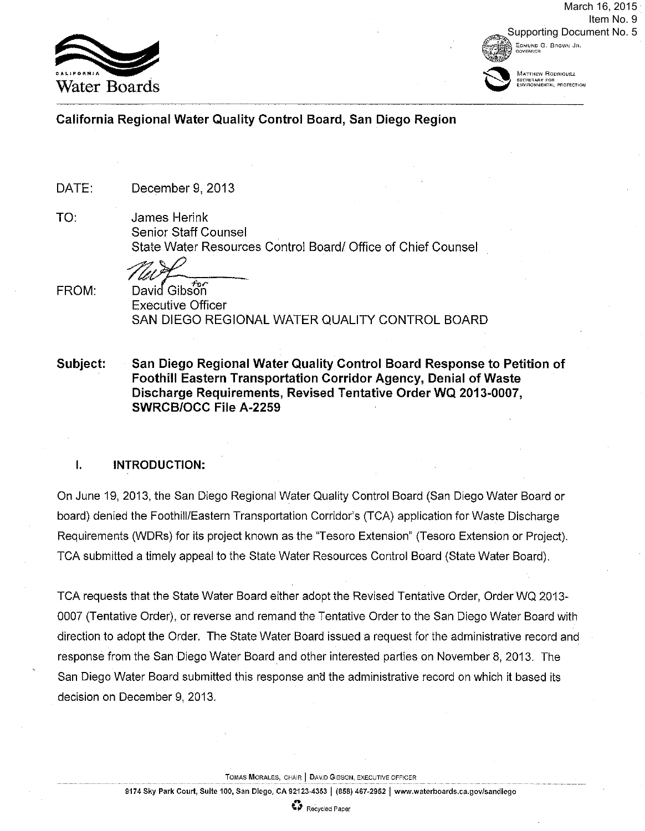

EDMUND Q. 8ROWN JR, *AOAFHULH* **→ MATTHEW RODRIGUEZ**<br>A MATTHEW RODRIGUEZ<br>ENVIRONMENTAL PROTECTION March 16, 2015 Item No. 9 Supporting Document No. 5

### **California Regional Water Quality Control Board, San Diego Region**

DATE: December 9, 2013

TO:

James Herink Senior Staff Counsel State Water Resources Control Board/ Office of Chief Counsel

The of

FROM:

*Let*<br>David Gibson<br>Executive Officer SAN DIEGO REGIONAL WATER QUALITY CONTROL BOARD

**Subject: San Diego Regional Water Quality Control Board Response to Petition of Foothill Eastern Transportation Corridor Agency, Denial of Waste Discharge Requirements, Revised Tentative Order WQ 2013-0007, SWRCB/OCC File A-2259** 

#### **I. INTRODUCTION:**

On June 19, 2013, the San Diego Regional Water Quality Control Board (San Diego Water Board or board) denied the Foothill/Eastern Transportation Corridor's (TCA) application for Waste Discharge Requirements (WDRs) for its project known as the "Tesoro Extension" (Tesoro Extension or Project). TCA submitted a timely appeal to the State Water Resources Control Board (State Water Board).

TCA requests that the State Water Board either adopt the Revised Tentative Order, Order WQ 2013-0007 (Tentative Order), or reverse and remand the Tentative Order to the San Diego Water Board with direction to adopt the Order. The State Water Board issued a request for the administrative record and response from the San Diego Water Board and other interested parties on November 8, 2013. The San Diego Water Board submitted this response and the administrative record on which it based its decision on December 9, 2013.

**TOMAS MORALES,** CHAIR **J** \_DAVID GIBSON, EXECUTIVE OFFICER

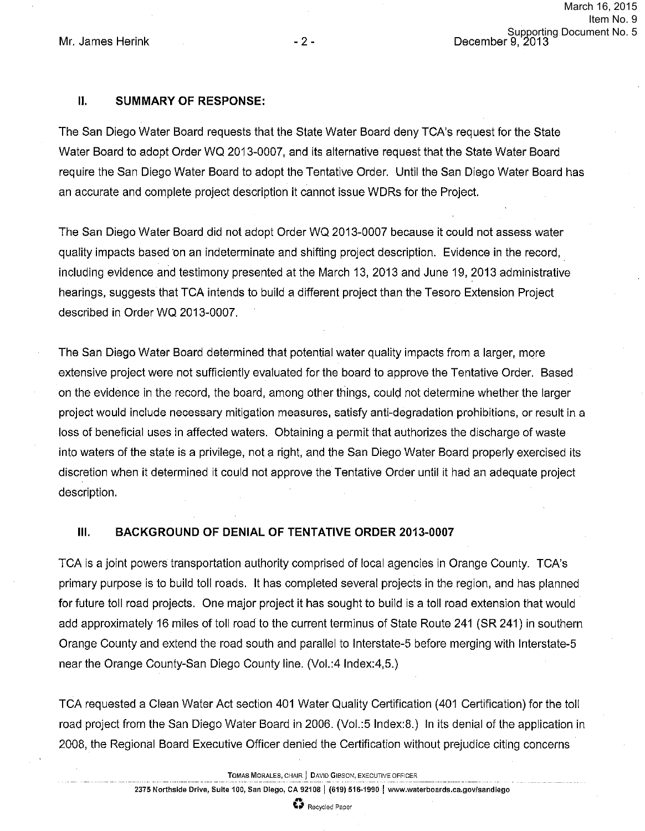# **II. SUMMARY OF RESPONSE:**

The San Diego Water Board requests that the State Water Board deny TCA's request for the State Water Board to adopt Order WQ 2013-0007, and its alternative request that the State Water Board require the San Diego Water Board to adopt the Tentative Order. Until the San Diego Water Board has an accurate and complete project description it cannot issue WDRs for the Project.

The San Diego Water Board did not adopt Order WQ 2013-0007 because it could not assess water quality impacts based on an indeterminate and shifting project description. Evidence in the record, including evidence and testimony presented at the March 13, 2013 and June 19, 2013 administrative hearings, suggests that TCA intends to build a different project than the Tesoro Extension Project described in Order WQ 2013-0007.

The San Diego Water Board determined that potential water quality impacts from a larger, more extensive project were not sufficiently evaluated for the board to approve the Tentative Order. Based on the evidence in the record, the board, among other things, could not determine whether the larger project would include necessary mitigation measures, satisfy anti-degradation prohibitions, or result in a loss of beneficial uses in affected waters. Obtaining a permit that authorizes the discharge of waste into waters of the state is a privilege, not a right, and the San Diego Water Board properly exercised its discretion when it determined it could not approve the Tentative Order until it had an adequate project description.

# **Ill. BACKGROUND OF DENIAL OF TENTATIVE ORDER** 2013-0007

TCA is a joint powers transportation authority comprised of local agencies in Orange County. TCA's primary purpose is to build toll roads. It has completed several projects in the region, and has planned for future toll road projects. One major project it has sought to build is a toll road extension that would add approximately 16 miles of toll road to the current terminus of State Route 241 (SR 241) in southern Orange County and extend the road south and parallel to Interstate-S before merging with Interstate-S near the Orange County-San Diego County line. (Vol.:4 lndex:4,S.)

TCA requested a Clean Water Act section 401 Water Quality Certification (401 Certification) for the toll road project from the San Diego Water Board in 2006. (Voi.:S lndex:8.) In its denial of the application in 2008, the Regional Board Executive Officer denied the Certification without prejudice citing concerns

**TOMAS MORALES, CHAIR | DAVID GIBSON, EXECUTIVE OFFICER** 

**2375 Northside Drive, Suite 100, San Diego, CA 92108 I (619) 516-1990 I www.waterboards.ca.gov/sandiego** 

**A 92108 | (619) 5<br>** $\bullet$  **Recycled Paper**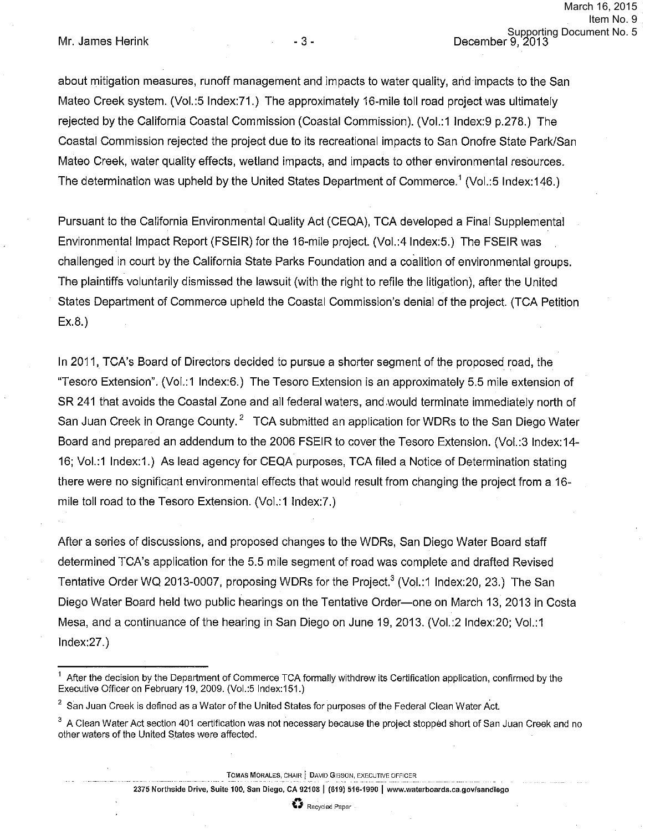about mitigation measures, runoff management and impacts to water quality, arid impacts to the San Mateo Creek system. (Vol.:5 lndex:71.) The approximately 16-mile toll road project was ultimately rejected by the California Coastal Commission (Coastal Commission). (Vol.:1 lndex:9 p.278.) The Coastal Commission rejected the project due to its recreational impacts to San Onofre State Park/San Mateo Creek, water quality effects, wetland impacts, and impacts to other environmental resources. The determination was upheld by the United States Department of Commerce.<sup>1</sup> (Vol.:5 Index:146.)

Pursuant to the California Environmental Quality Act (CEQA), TCA developed a Final Supplemental Environmental Impact Report (FSEIR) for the 16-mile project. (Vol.:4 lndex:5.) The FSEIR was challenged in court by the California State Parks Foundation and a coalition of environmental groups. The plaintiffs voluntarily dismissed the lawsuit (with the right to refile the litigation), after the United States Department of Commerce upheld the Coastal Commission's denial of the project. (TCA Petition  $Ex.8.$ 

In 2011, TCA's Board of Directors decided to pursue a shorter segment of the proposed road, the "Tesoro Extension". (Vol.:1 lndex:6.) The Tesoro Extension is an approximately 5.5 mile extension of SR 241 that avoids the Coastal Zone and all federal waters, and .would terminate immediately north of San Juan Creek in Orange County.<sup>2</sup> TCA submitted an application for WDRs to the San Diego Water Board and prepared an addendum to the 2006 FSEIR to cover the Tesoro Extension. (Vol.:3 lndex:14- 16; Vol.:1 lndex:1.) As lead agency for CEQA purposes, TCA filed a Notice of Determination stating there were no significant environmental effects that would result from changing the project from a 16 mile toll road to the Tesoro Extension. (Vol.:1 Index:?.)

After a series of discussions, and proposed changes to the WDRs, San Diego Water Board staff determined TCA's application for the 5.5 mile segment of road was complete and drafted Revised Tentative Order WQ 2013-0007, proposing WDRs for the Project.<sup>3</sup> (Vol.:1 Index:20, 23.) The San Diego Water Board held two public hearings on the Tentative Order-one on March 13, 2013 in Costa Mesa, and a continuance of the hearing in San Diego on June 19, 2013. (Vol.:2 Index:20; Vol.:1 lndex:27.)

**TOMAS MORALES, CHAIR j DAVID** GIBSON, EXECUTIVE OFFICER

**2375 Northside Drive, Suite 100, San Diego, CA 92108) (619) 516-1990 I www.waterboards.ca.gov/sandiego** 

 $<sup>1</sup>$  After the decision by the Department of Commerce TCA formally withdrew its Certification application, confirmed by the</sup> Executive Officer on February 19, 2009. (Vol.:5 Index:151.)

 $^2$  San Juan Creek is defined as a Water of the United States for purposes of the Federal Clean Water Act.

<sup>&</sup>lt;sup>3</sup> A Clean Water Act section 401 certification was not necessary because the project stopped short of San Juan Creek and no other waters of the United States were affected.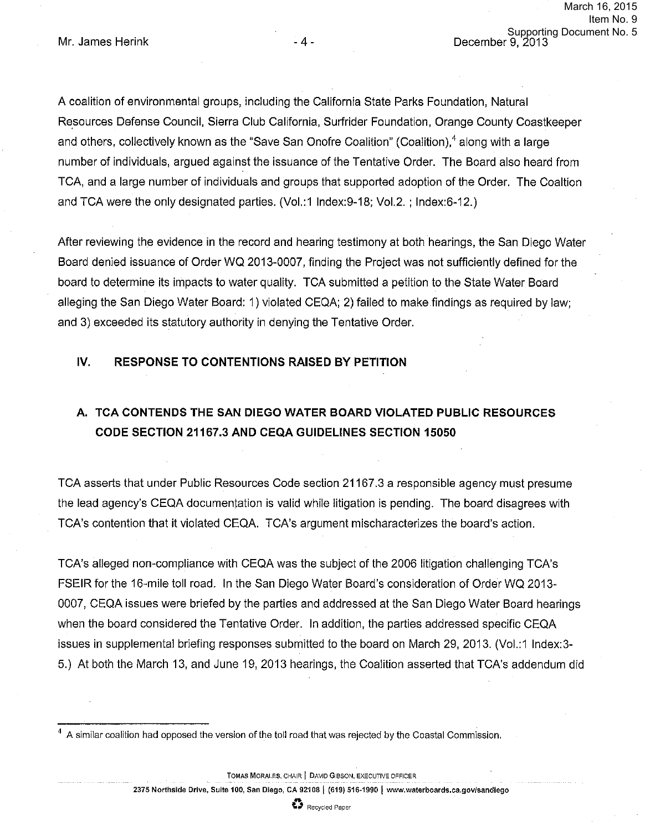A coalition of environmental groups, including the California State Parks Foundation, Natural Resources Defense Council, Sierra Club California, Surfrider Foundation, Orange County Coastkeeper and others, collectively known as the "Save San Onofre Coalition" (Coalition),<sup>4</sup> along with a large number of individuals, argued against the issuance of the Tentative Order. The Board also heard from TCA, and a large number of individuals and groups that supported adoption of the Order. The Coaltion and TCA were the only designated parties. (Vol.:1 lndex:9-18; Vol.2.; lndex:6-12.)

After reviewing the evidence in the record and hearing testimony at both hearings, the San Diego Water Board denied issuance of Order WQ 2013-0007, finding the Project was not sufficiently defined for the board to determine its impacts to water quality. TCA submitted a petition to the State Water Board alleging the San Diego Water Board: 1) violated CEQA; 2) failed to make findings as required by law; and 3) exceeded its statutory authority in denying the Tentative Order.

### **IV. RESPONSE TO CONTENTIONS RAISED BY PETITION**

# **A. TCA CONTENDS THE SAN DIEGO WATER BOARD VIOLATED PUBLIC RESOURCES CODE SECTION 21167.3 AND CEQA GUIDELINES SECTION 15050**

TCA asserts that under Public Resources Code section 21167.3 a responsible agency must presume the lead agency's CEQA documentation is valid while litigation is pending. The board disagrees with TCA's contention that it violated CEQA. TCA's argument mischaracterizes the board's action.

TCA's alleged non-compliance with CEQA was the subject of the 2006 litigation challenging TCA's FSEIR for the 16-mile toll road. In the San Diego Water Board's consideration of Order WQ 2013- 0007, CEQA issues were briefed by the parties and addressed at the San Diego Water Board hearings when the board considered the Tentative Order. In addition, the parties addressed specific CEQA issues in supplemental briefing responses submitted to the board on March 29, 2013. (Vo1.:1 lndex:3- 5.) At both the March 13, and June 19, 2013 hearings, the Coalition asserted that TCA's addendum did

**TOMAS MORALES, CHAIR | DAVID GIBSON, EXECUTIVE OFFICER** 

 $4\,$  A similar coalition had opposed the version of the toll road that was rejected by the Coastal Commission.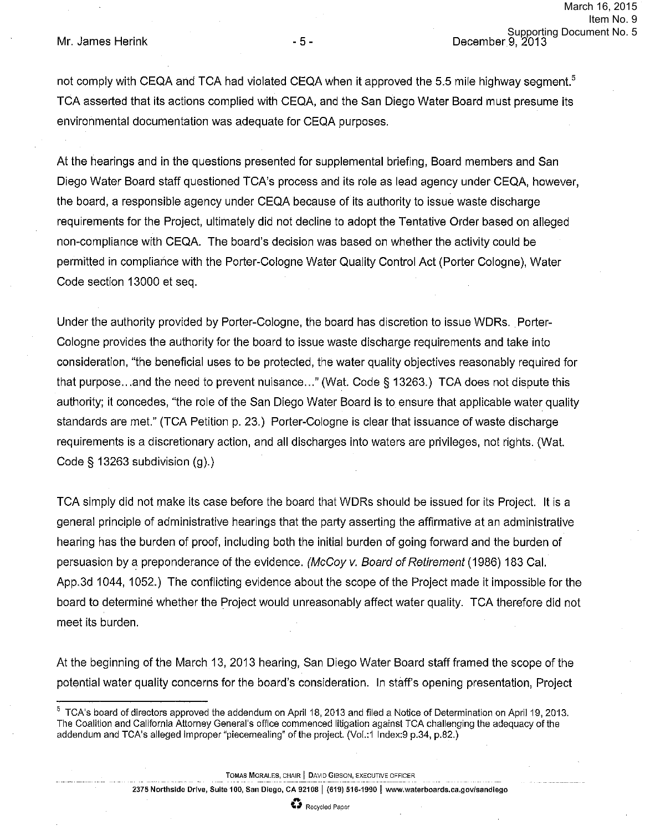not comply with CEQA and TCA had violated CEQA when it approved the 5.5 mile highway segment.<sup>5</sup> TCA asserted that its actions complied with CEQA, and the San Diego Water Board must presume its environmental documentation was adequate for CEQA purposes.

At the hearings and in the questions presented for supplemental briefing, Board members and San Diego Water Board staff questioned TCA's process and its role as lead agency under CEQA, however, the board, a responsible agency under CEQA because of its authority to issue waste discharge requirements for the Project, ultimately did not decline to adopt the Tentative Order based on alleged non-compliance with CEQA. The board's decision was based on whether the activity could be permitted in compliance with the Porter-Cologne Water Quality Control Act (Porter Cologne), Water Code section 13000 et seq.

Under the authority provided by Porter-Cologne, the board has discretion to issue WDRs. Porter-Cologne provides the authority for the board to issue waste discharge requirements and take into consideration, "the beneficial uses to be protected, the water quality objectives reasonably required for that purpose ... and the need to prevent nuisance ... " (Wat. Code§ 13263.) TCA does not dispute this authority; it concedes, "the role of the San Diego Water Board is to ensure that applicable water quality standards are met." (TCA Petition p. 23.) Porter-Cologne is clear that issuance of waste discharge requirements is a discretionary action, and all discharges into waters are privileges, not rights. (Wat. Code§ 13263 subdivision (g).)

TCA simply did not make its case before the board that WDRs should be issued for its Project. It is a general principle of administrative hearings that the party asserting the affirmative at an administrative hearing has the burden of proof, including both the initial burden of going forward and the burden of persuasion by a preponderance of the evidence. (McCoy v. Board of Retirement (1986) 183 Cal. App.3d 1044, 1052.) The conflicting evidence about the scope of the Project made it impossible for the board to determine whether the Project would unreasonably affect water quality. TCA therefore did not meet its burden.

At the beginning of the March 13, 2013 hearing, San Diego Water Board staff framed the scope of the potential water quality concerns for the board's consideration. In staff's opening presentation, Project

**TOMAS MORALES,** CHAIR I DAVID GIBSON, EXECUTIVE OFFICER



 $5$  TCA's board of directors approved the addendum on April 18, 2013 and filed a Notice of Determination on April 19, 2013. The Coalition and California Attorney General's office commenced litigation against TCA challenging the adequacy of the addendum and TCA's alleged improper "piecemealing" of the project. (Vol.:1 lndex:9 p.34, p.82.)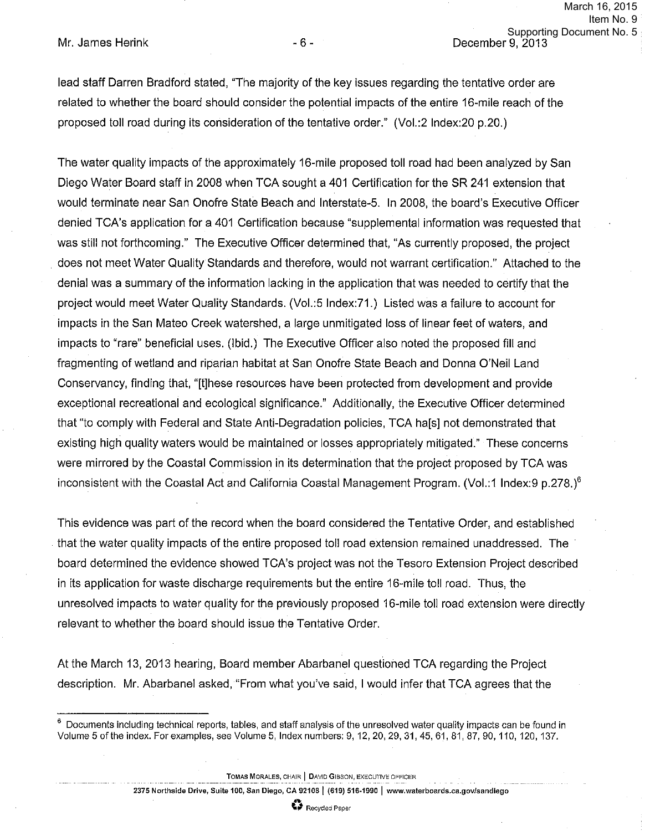lead staff Darren Bradford stated, "The majority of the key issues regarding the tentative order are related to whether the board should consider the potential impacts of the entire 16-mile reach of the proposed toll road during its consideration of the tentative order." (Vol.:2 lndex:20 p.20.)

The water quality impacts of the approximately 16-mile proposed toll road had been analyzed by San Diego Water Board staff in 2008 when TCA sought a 401 Certification for the SR 241 extension that would terminate near San Onofre State Beach and lnterstate-5. In 2008, the board's Executive Officer denied TCA's application for a 401 Certification because "supplemental information was requested that was still not forthcoming." The Executive Officer determined that, "As currently proposed, the project . does not meet Water Quality Standards and therefore, would not warrant certification." Attached to the denial was a summary of the information lacking in the application that was needed to certify that the project would meet Water Quality Standards. (Vol.:5 lndex:71.) Listed was a failure to account for impacts in the San Mateo Creek watershed, a large unmitigated loss of linear feet of waters, and impacts to "rare" beneficial uses. (Ibid.) The Executive Officer also noted the proposed fill and fragmenting of wetland and riparian habitat at San Onofre State Beach and Donna O'Neil Land Conservancy, finding that, "[t]hese resources have been protected from development and provide exceptional recreational and ecological significance." Additionally, the Executive Officer determined that "to comply with Federal and State Anti-Degradation policies, TCA ha[s] not demonstrated that existing high quality waters would be maintained or losses appropriately mitigated." These concerns were mirrored by the Coastal Commission in its determination that the project proposed by TCA was inconsistent with the Coastal Act and California Coastal Management Program. (Vol.:1 Index:9 p.278.)<sup>6</sup>

This evidence was part of the record when the board considered the Tentative Order, and established that the water quality impacts of the entire proposed toll road extension remained unaddressed. The · board determined the evidence showed TCA's project was not the Tesoro Extension Project described in its application for waste discharge requirements but the entire 16-mile toll road. Thus, the unresolved impacts to water quality for the previously proposed 16-mile toll road extension were directly relevant to whether the board should issue the Tentative Order.

At the March 13, 2013 hearing, Board member Abarbanel questioned TCA regarding the Project description. Mr. Abarbanel asked, "From what you've said, I would infer that TCA agrees that the

**TOMAS MORALES, CHAIR | DAVID GIBSON, EXECUTIVE OFFICER** 

### <sup>B</sup>**\1** Recycled Paper

 $6$  Documents including technical reports, tables, and staff analysis of the unresolved water quality impacts can be found in Volume 5 of the index. For examples, see Volume 5, Index numbers: 9, 12, 20, 29, 31, 45, 61, 81, 87, 90, 110, 120, 137.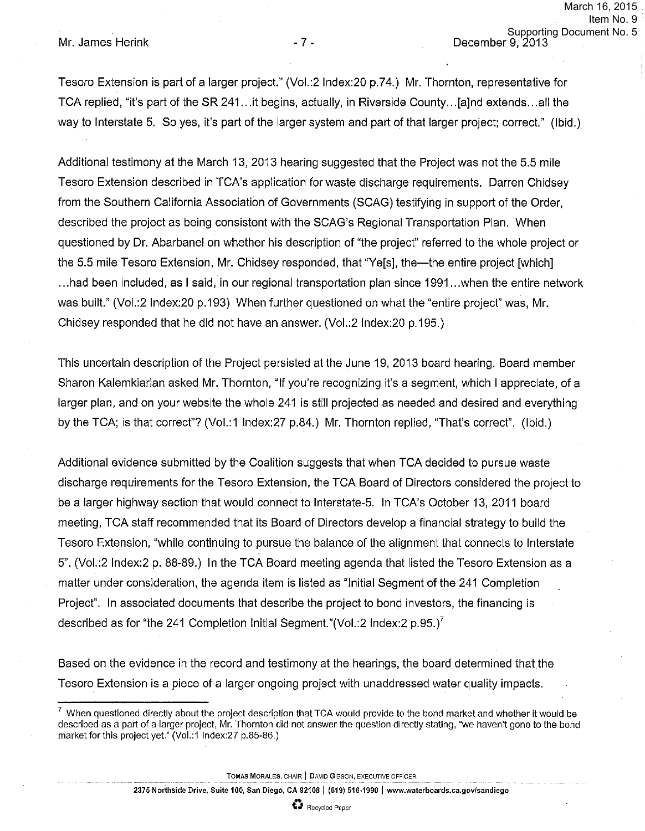Tesoro Extension is part of a larger project." (Vol.:21ndex:20 p.74.) Mr. Thornton, representative for TCA replied, "it's part of the SR 241 ... it begins, actually, in Riverside County ... [a]nd extends ... all the way to Interstate 5. So yes, it's part of the larger system and part of that larger project; correct." (Ibid.)

Additional testimony at the March 13, 2013 hearing suggested that the Project was not the 5.5 mile Tesoro Extension described in TCA's application for waste discharge requirements. Darren Chidsey from the Southern California Association of Governments (SCAG) testifying in support of the Order, described the project as being consistent with the SCAG's Regional Transportation Plan. When questioned by Dr. Abarbanel on whether his description of "the project" referred to the whole project or the 5.5 mile Tesoro Extension, Mr. Chidsey responded, that "Ye[s], the—the entire project [which] ... had been included, as I said, in our regional transportation plan since 1991 ... when the entire network was built." (Vol.:2 lndex:20 p.193) When further questioned on what the "entire project" was, Mr. Chidsey responded that he did not have an answer. (Vol.:2 Index:20 p.195.)

This uncertain description of the Project persisted at the June 19, 2013 board hearing. Board member Sharon Kalemkiarian asked Mr. Thornton, "If you're recognizing it's a segment, which I appreciate, of a larger plan, and on your website the whole 241 is still projected as needed and desired and everything by the TCA; is that correct"? (Vol.: 1 lndex:27 p.84.) Mr. Thornton replied, "That's correct". (Ibid.)

Additional evidence submitted by the Coalition suggests that when TCA decided to pursue waste discharge requirements for the Tesoro Extension, the TCA Board of Directors considered the project to be a larger highway section that would connect to lnterstate-5. In TCA's October 13, 2011 board meeting, TCA staff recommended that its Board of Directors develop a financial strategy to build the Tesoro Extension, "while continuing to pursue the balance of the alignment that connects to Interstate 5". (Vol.:2 lndex:2 p. 88-89.) In the TCA Board meeting agenda that listed the Tesoro Extension as a matter under consideration, the agenda item is listed as "Initial Segment of the 241 Completion Project". In associated documents that describe the project to bond investors, the financing is described as for "the 241 Completion Initial Segment."(Vol.:2 Index:2  $p.95$ .)<sup>7</sup>

Based on the evidence in the record and testimony at the hearings, the board determined that the Tesoro Extension is a piece of a larger ongoing project with unaddressed water quality impacts.

**TOMAS MORALES, CHAIR | DAVID GIBSON, EXECUTIVE OFFICER** 

 $7$  When questioned directly about the project description that TCA would provide to the bond market and whether it would be described as a part of a larger project, Mr. Thornton did not answer the question directly stating, "we haven't gone to the bond market for this project yet." (Vol.:1 Index:27 p.85-86.)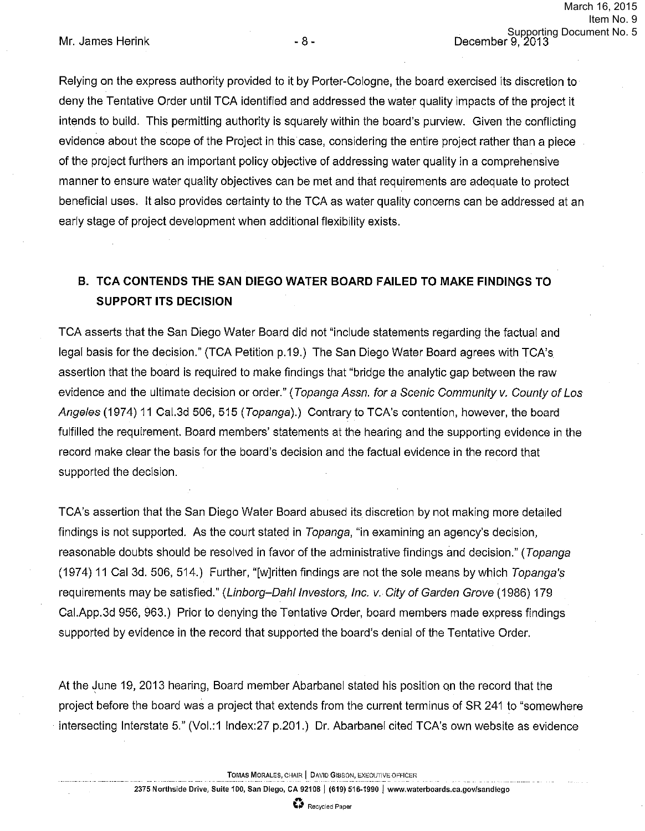Relying on the express authority provided to it by Porter-Cologne, the board exercised its discretion to deny the Tentative Order until TCA identified and addressed the water quality impacts of the project it intends to build. This permitting authority is squarely within the board's purview. Given the conflicting evidence about the scope of the Project in this case, considering the entire project rather than a piece of the project furthers an important policy objective of addressing water quality in a comprehensive manner to ensure water quality objectives can be met and that requirements are adequate to protect beneficial uses. It also provides certainty to the TCA as water quality concerns can be addressed at an early stage of project development when additional flexibility exists.

# **B. TCA CONTENDS THE SAN DIEGO WATER BOARD FAILED TO MAKE FINDINGS TO SUPPORT ITS DECISION**

TCA asserts that the San Diego Water Board did not "include statements regarding the factual and legal basis for the decision." (TCA Petition p.19.) The San Diego Water Board agrees with TCA's assertion that the board is required to make findings that "bridge the analytic gap between the raw evidence and the ultimate decision or order." (Topanga Assn. for a Scenic Community v. County of Los Angeles (1974) 11 Cal.3d 506, 515 (Topanga).) Contrary to TCA's contention, however, the board fulfilled the requirement. Board members' statements at the hearing and the supporting evidence in the record make clear the basis for the board's decision and the factual evidence in the record that supported the decision.

TCA's assertion that the San Diego Water Board abused its discretion by not making more detailed findings is not supported. As the court stated in Topanga, "in examining an agency's decision, reasonable doubts should be resolved in favor of the administrative findings and decision." (Topanga (1974) 11 Cal 3d. 506, 514.) Further, "[w]ritten findings are not the sole means by which Topanga's requirements may be satisfied." (Linborg-Dahl Investors, Inc. v. City of Garden Grove (1986) 179 Cai.App.3d 956, 963.) Prior to denying the Tentative Order, board members made express findings supported by evidence in the record that supported the board's denial of the Tentative Order.

At the June 19, 2013 hearing, Board member Abarbanel stated his position on the record that the project before the board was a project that extends from the current terminus of SR 241 to "somewhere intersecting Interstate 5." (Vol.:1 lndex:27 p.201.) Dr. Abarbanel cited TCA's own website as evidence

**TOMAS MORALES,** CHAIR **j** DAVID GIBSON, EXECUTIVE OFFICER

**2375 Northside Drive, Suite 100, San Diego, CA 92108] (619) 516-1990 J www.waterboards.ca.govfsandlego** 

.. **\I** Recycled Paper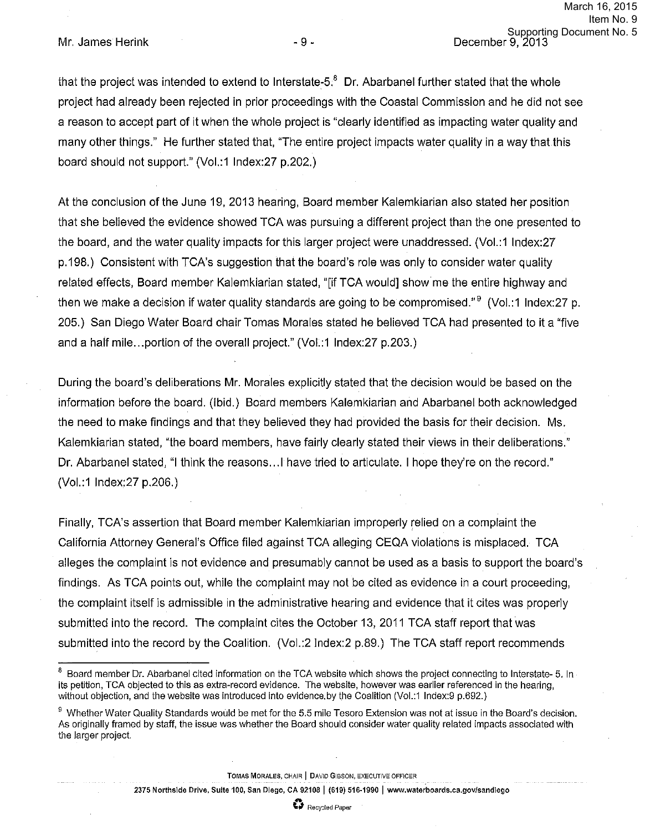Mr. James Herink - 9 - 9 - December 9, 2013

that the project was intended to extend to Interstate-5. $8$  Dr. Abarbanel further stated that the whole project had already been rejected in prior proceedings with the Coastal Commission and he did not see a reason to accept part of it when the whole project is "clearly identified as impacting water quality and many other things." He further stated that, "The entire project impacts water quality in a way that this board should not support." (Vol.:1 lndex:27 p.202.)

At the conclusion of the June 19, 2013 hearing, Board member Kalemkiarian also stated her position that she believed the evidence showed TCA was pursuing a different project than the one presented to the board, and the water quality impacts for this larger project were unaddressed. (Vol.:1 lndex:27 p. 198.) Consistent with TCA's suggestion that the board's role was only to consider water quality related effects, Board member Kalemkiarian stated, "[if TCA would] show me the entire highway and then we make a decision if water quality standards are going to be compromised." $9$  (Vol.: 1 Index: 27 p. 205.) San Diego Water Board chair Tomas Morales stated he believed TCA had presented to it a "five and a half mile... portion of the overall project." (Vol.:1 Index:27 p.203.)

During the board's deliberations Mr. Morales explicitly stated that the decision would be based on the information before the board. (Ibid.) Board members Kalemkiarian and Abarbanel both acknowledged the need to make findings and that they believed they had provided the basis for their decision. Ms. Kalemkiarian stated, "the board members, have fairly clearly stated their views in their deliberations." Dr. Abarbanel stated, "I think the reasons ... I have tried to articulate. I hope they're on the record." (Vol.:1 lndex:27 p.206.)

Finally, TCA's assertion that Board member Kalemkiarian improperly relied on a complaint the California Attorney General's Office filed against TCA alleging CEQA violations is misplaced. TCA alleges the complaint is not evidence and presumably cannot be used as a basis to support the board's findings. As TCA points out, while the complaint may not be cited as evidence in a court proceeding, the complaint itself is admissible in the administrative hearing and evidence that it cites was properly submitted into the record. The complaint cites the October 13, 2011 TCA staff report that was submitted into the record by the Coalition. (Vol.:2 Index:2 p.89.) The TCA staff report recommends

**TOMAS MORALES,** CHAIR I DAVID GIBSON, EXECUTIVE OFFICER

<sup>&</sup>lt;sup>8</sup> Board member Dr. Abarbanel cited information on the TCA website which shows the project connecting to Interstate- 5. In its petition, TCA objected to this as extra-record evidence. The website, however was earlier referenced in the hearing, without objection, and the website was introduced into evidence. by the Coalition (Vol.:1 lndex:9 p.692.)

<sup>&</sup>lt;sup>9</sup> Whether Water Quality Standards would be met for the 5.5 mile Tesoro Extension was not at issue in the Board's decision. As originally framed by staff, the issue was whether the Board should consider water quality related impacts associated with the larger project.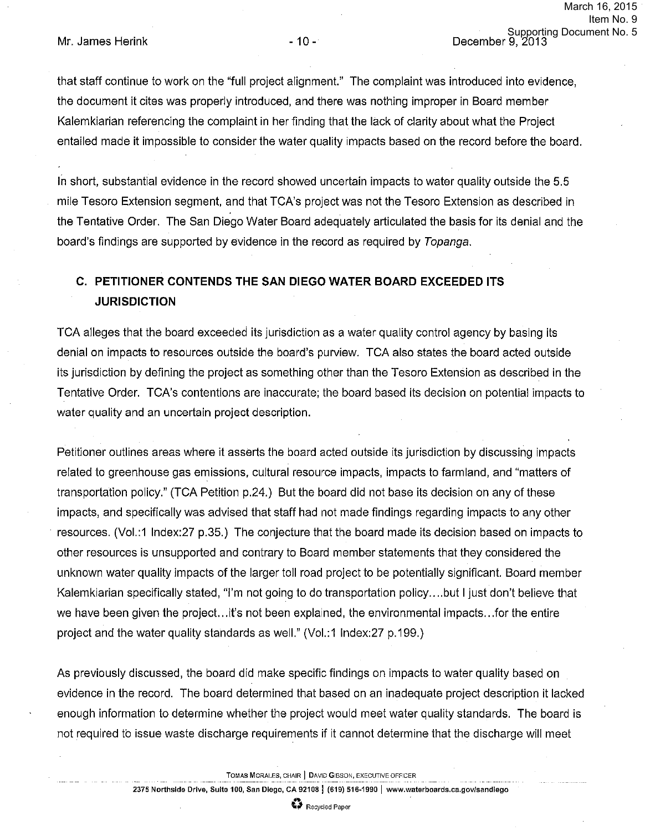that staff continue to work on the "full project alignment." The complaint was introduced into evidence, the document it cites was properly introduced, and there was nothing improper in Board member Kalemkiarian referencing the complaint in her finding that the lack of clarity about what the Project entailed made it impossible to consider the water quality impacts based on the record before the board.

In short, substantial evidence in the record showed uncertain impacts to water quality outside the 5.5 mile Tesoro Extension segment, and that TCA's project was not the Tesoro Extension as described in the Tentative Order. The San Diego Water Board adequately articulated the basis for its denial and the board's findings are supported by evidence in the record as required by Topanga.

# **C. PETITIONER CONTENDS THE SAN DIEGO WATER BOARD EXCEEDED ITS JURISDICTION**

TCA alleges that the board exceeded its jurisdiction as a water quality control agency by basing its denial on impacts to resources outside the board's purview. TCA also states the board acted outside its jurisdiction by defining the project as something other than the Tesoro Extension as described in the Tentative Order. TCA's contentions are inaccurate; the board based its decision on potential impacts to water quality and an uncertain project description.

Petitioner outlines areas where it asserts the board acted outside its jurisdiction by discussing impacts related to greenhouse gas emissions, cultural resource impacts, impacts to farmland, and "matters of transportation policy." (TCA Petition p.24.) But the board did not base its decision on any of these impacts, and specifically was advised that staff had not made findings regarding impacts to any other · resources. (Vol.:1 lndex:27 p.35.) The conjecture that the board made its decision based on impacts to other resources is unsupported and contrary to Board member statements that they considered the unknown water quality impacts of the larger toll road project to be potentially significant. Board member Kalemkiarian specifically stated, "I'm not going to do transportation policy .... but I just don't believe that we have been given the project... it's not been explained, the environmental impacts... for the entire project and the water quality standards as well." (Vol.:1 lndex:27 p. 199.)

As previously discussed, the board did make specific findings on impacts to water quality based on evidence in the record. The board determined that based on an inadequate project description it lacked enough information to determine whether the project would meet water quality standards. The board is not required to issue waste discharge requirements if it cannot determine that the discharge will meet

**TOMAS MORALES,** CHAIR ] DAVID GIBSON, EXECUTIVE OFFICER

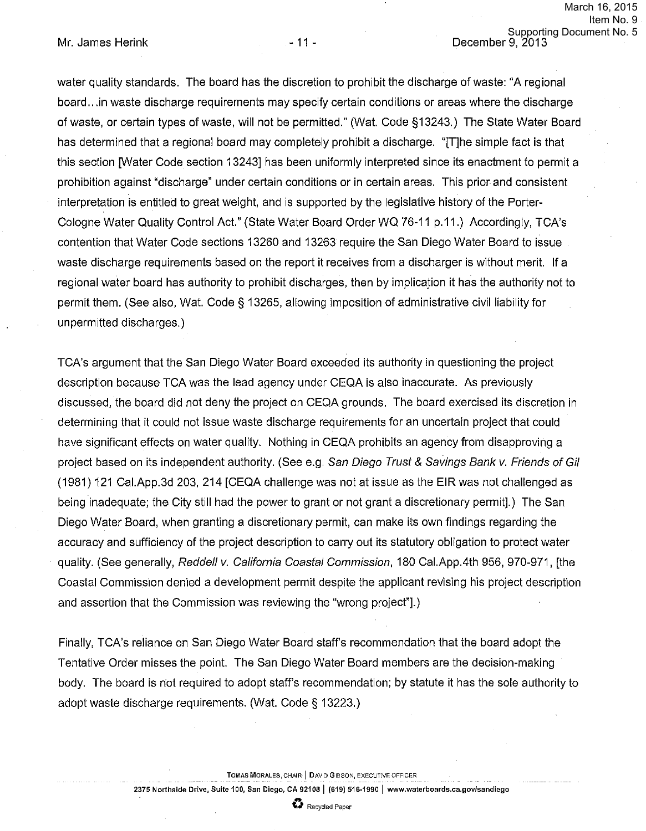water quality standards. The board has the discretion to prohibit the discharge of waste: "A regional board ... in waste discharge requirements may specify certain conditions or areas where the discharge of waste, or certain types of waste, will not be permitted." (Wat. Code §13243.) The State Water Board has determined that a regional board may completely prohibit a discharge. "[T]he simple fact is that this section [Water Code section 13243] has been uniformly interpreted since its enactment to permit a prohibition against "discharge" under certain conditions or in certain areas. This prior and consistent interpretation is entitled to great weight, and is supported by the legislative history of the Porter-Cologne Water Quality Control Act." (State Water Board Order WQ 76-11 p.11.) Accordingly, TCA's contention that Water Code sections 13260 and 13263 require the San Diego Water Board to issue waste discharge requirements based on the report it receives from a discharger is without merit. If a regional water board has authority to prohibit discharges, then by implication it has the authority not to permit them. (See also, Wat. Code§ 13265, allowing imposition of administrative civil liability for unpermitted discharges.)

TCA's argument that the San Diego Water Board exceeded its authority in questioning the project description because TCA was the lead agency under CEQA is also inaccurate. As previously discussed, the board did not deny the project on CEQA grounds. The board exercised its discretion in determining that it could not issue waste discharge requirements for an uncertain project that could have significant effects on water quality. Nothing in CEQA prohibits an agency from disapproving a project based on its independent authority. (See e.g. San Diego Trust & Savings Bank v. Friends of Gil (1981) 121 Cai.App.3d 203, 214 [CEQA challenge was not at issue as the EIR was not challenged as being inadequate; the City still had the power to grant or not grant a discretionary permit].) The San Diego Water Board, when granting a discretionary permit, can make its own findings regarding the accuracy and sufficiency of the project description to carry out its statutory obligation to protect water quality. (See generally, Reddell v. California Coastal Commission, 180 Cai.App.4th 956, 970-971, [the Coastal Commission denied a development permit despite the applicant revising his project description and assertion that the Commission was reviewing the "wrong project"].)

Finally, TCA's reliance on San Diego Water Board staff's recommendation that the board adopt the Tentative Order misses the point. The San Diego Water Board members are the decision-making body. The board is not required to adopt staff's recommendation; by statute it has the sole authority to adopt waste discharge requirements. (Wat. Code § 13223.)

**TOMAS MORALES,** CHAIR I DAV D GIBSON, EXECUTIVE OFFICER

**2375 Northside Drive, Suite 100, San Diego, CA 921081 (619) 516-1990 I www.waterboards.ca.govlsandiego**